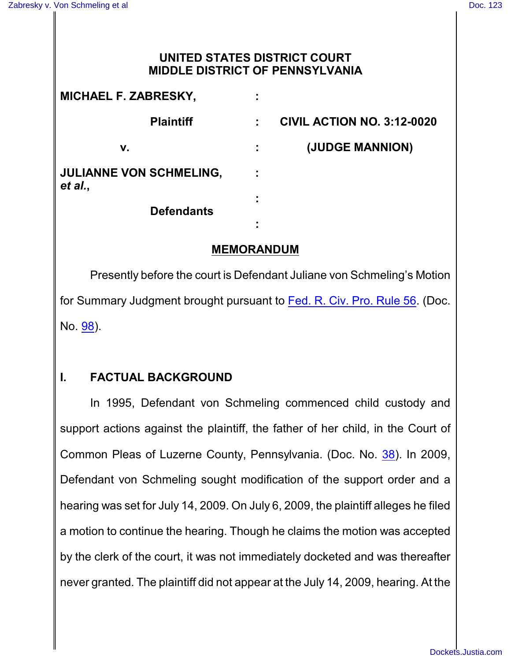## **UNITED STATES DISTRICT COURT MIDDLE DISTRICT OF PENNSYLVANIA**

| <b>MICHAEL F. ZABRESKY,</b>               |   |                                   |
|-------------------------------------------|---|-----------------------------------|
| <b>Plaintiff</b>                          |   | <b>CIVIL ACTION NO. 3:12-0020</b> |
| v.                                        | ÷ | (JUDGE MANNION)                   |
| <b>JULIANNE VON SCHMELING,</b><br>et al., |   |                                   |
| <b>Defendants</b>                         |   |                                   |
|                                           | ٠ |                                   |

## **MEMORANDUM**

Presently before the court is Defendant Juliane von Schmeling's Motion for Summary Judgment brought pursuant to [Fed. R. Civ. Pro. Rule 56](http://westlaw.com/find/default.wl?ft=L&docname=USFRCPR56&rs=btil2.0&rp=%2ffind%2fdefault.wl&fn=_top&findtype=L&vr=2.0&db=1000600&wbtoolsId=USFRCPR56&HistoryType=F). (Doc. No. [98](http://ecf.pamd.uscourts.gov/doc1/15504245635)).

# **I. FACTUAL BACKGROUND**

In 1995, Defendant von Schmeling commenced child custody and support actions against the plaintiff, the father of her child, in the Court of Common Pleas of Luzerne County, Pennsylvania. (Doc. No. [38](http://ecf.pamd.uscourts.gov/doc1/15503750692)). In 2009, Defendant von Schmeling sought modification of the support order and a hearing was set for July 14, 2009. On July 6, 2009, the plaintiff alleges he filed a motion to continue the hearing. Though he claims the motion was accepted by the clerk of the court, it was not immediately docketed and was thereafter never granted. The plaintiff did not appear at the July 14, 2009, hearing. At the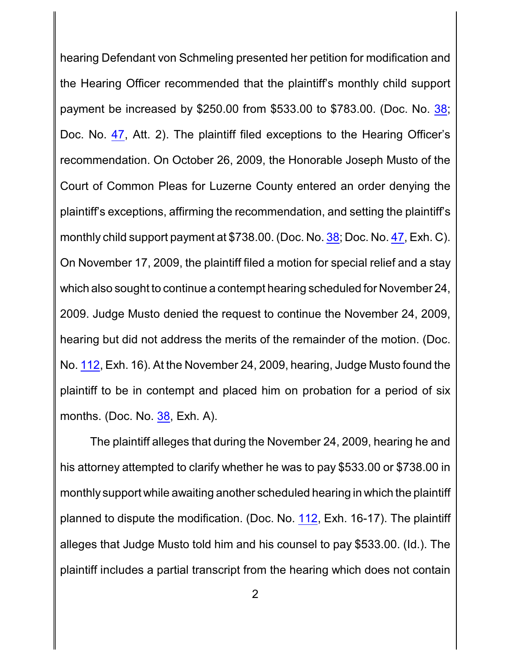hearing Defendant von Schmeling presented her petition for modification and the Hearing Officer recommended that the plaintiff's monthly child support payment be increased by \$250.00 from \$533.00 to \$783.00. (Doc. No. [38](http://ecf.pamd.uscourts.gov/doc1/15503750692); Doc. No. [47](http://ecf.pamd.uscourts.gov/doc1/15503772490), Att. 2). The plaintiff filed exceptions to the Hearing Officer's recommendation. On October 26, 2009, the Honorable Joseph Musto of the Court of Common Pleas for Luzerne County entered an order denying the plaintiff's exceptions, affirming the recommendation, and setting the plaintiff's monthly child support payment at \$738.00. (Doc. No. [38](http://ecf.pamd.uscourts.gov/doc1/15503750692); Doc. No. [47](http://ecf.pamd.uscourts.gov/doc1/15503772490), Exh. C). On November 17, 2009, the plaintiff filed a motion for special relief and a stay which also sought to continue a contempt hearing scheduled for November 24, 2009. Judge Musto denied the request to continue the November 24, 2009, hearing but did not address the merits of the remainder of the motion. (Doc. No. [112](http://ecf.pamd.uscourts.gov/doc1/15504298365), Exh. 16). At the November 24, 2009, hearing, Judge Musto found the plaintiff to be in contempt and placed him on probation for a period of six months. (Doc. No. [38](http://ecf.pamd.uscourts.gov/doc1/15503750692), Exh. A).

The plaintiff alleges that during the November 24, 2009, hearing he and his attorney attempted to clarify whether he was to pay \$533.00 or \$738.00 in monthly support while awaiting another scheduled hearing in which the plaintiff planned to dispute the modification. (Doc. No. [112](http://ecf.pamd.uscourts.gov/doc1/15504298365), Exh. 16-17). The plaintiff alleges that Judge Musto told him and his counsel to pay \$533.00. (Id.). The plaintiff includes a partial transcript from the hearing which does not contain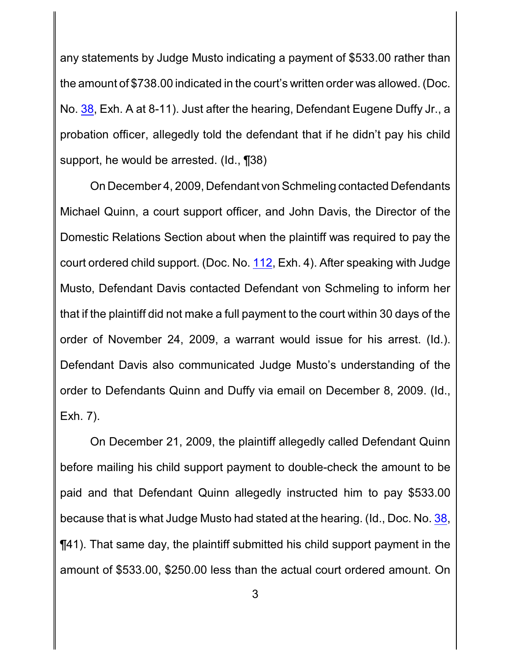any statements by Judge Musto indicating a payment of \$533.00 rather than the amount of \$738.00 indicated in the court's written order was allowed. (Doc. No. [38](http://ecf.pamd.uscourts.gov/doc1/15503750692), Exh. A at 8-11). Just after the hearing, Defendant Eugene Duffy Jr., a probation officer, allegedly told the defendant that if he didn't pay his child support, he would be arrested. (Id., ¶38)

On December 4, 2009, Defendant von Schmeling contacted Defendants Michael Quinn, a court support officer, and John Davis, the Director of the Domestic Relations Section about when the plaintiff was required to pay the court ordered child support. (Doc. No. [112](http://ecf.pamd.uscourts.gov/doc1/15504298365), Exh. 4). After speaking with Judge Musto, Defendant Davis contacted Defendant von Schmeling to inform her that if the plaintiff did not make a full payment to the court within 30 days of the order of November 24, 2009, a warrant would issue for his arrest. (Id.). Defendant Davis also communicated Judge Musto's understanding of the order to Defendants Quinn and Duffy via email on December 8, 2009. (Id., Exh. 7).

On December 21, 2009, the plaintiff allegedly called Defendant Quinn before mailing his child support payment to double-check the amount to be paid and that Defendant Quinn allegedly instructed him to pay \$533.00 because that is what Judge Musto had stated at the hearing. (Id., Doc. No. [38](http://ecf.pamd.uscourts.gov/doc1/15503750692), ¶41). That same day, the plaintiff submitted his child support payment in the amount of \$533.00, \$250.00 less than the actual court ordered amount. On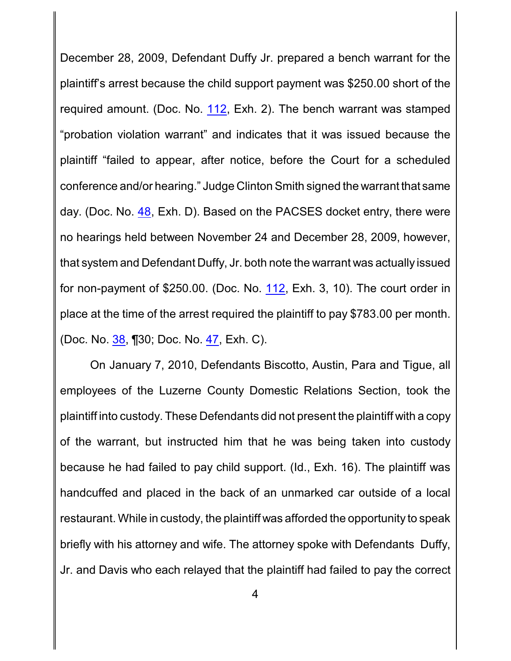December 28, 2009, Defendant Duffy Jr. prepared a bench warrant for the plaintiff's arrest because the child support payment was \$250.00 short of the required amount. (Doc. No. [112](http://ecf.pamd.uscourts.gov/doc1/15504298365), Exh. 2). The bench warrant was stamped "probation violation warrant" and indicates that it was issued because the plaintiff "failed to appear, after notice, before the Court for a scheduled conference and/or hearing." Judge Clinton Smith signed the warrant that same day. (Doc. No. [48](http://ecf.pamd.uscourts.gov/doc1/15503780440), Exh. D). Based on the PACSES docket entry, there were no hearings held between November 24 and December 28, 2009, however, that system and Defendant Duffy, Jr. both note the warrant was actually issued for non-payment of \$250.00. (Doc. No. [112](http://ecf.pamd.uscourts.gov/doc1/15504298365), Exh. 3, 10). The court order in place at the time of the arrest required the plaintiff to pay \$783.00 per month. (Doc. No. [38](http://ecf.pamd.uscourts.gov/doc1/15503750692), ¶30; Doc. No. [47](http://ecf.pamd.uscourts.gov/doc1/15503772490), Exh. C).

On January 7, 2010, Defendants Biscotto, Austin, Para and Tigue, all employees of the Luzerne County Domestic Relations Section, took the plaintiff into custody. These Defendants did not present the plaintiff with a copy of the warrant, but instructed him that he was being taken into custody because he had failed to pay child support. (Id., Exh. 16). The plaintiff was handcuffed and placed in the back of an unmarked car outside of a local restaurant. While in custody, the plaintiff was afforded the opportunity to speak briefly with his attorney and wife. The attorney spoke with Defendants Duffy, Jr. and Davis who each relayed that the plaintiff had failed to pay the correct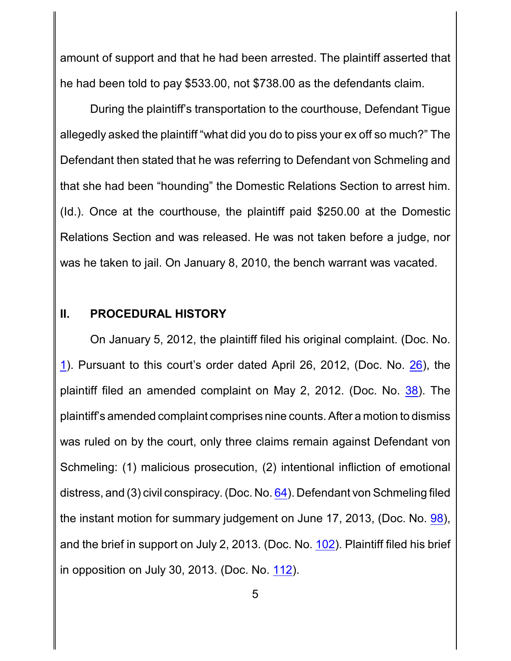amount of support and that he had been arrested. The plaintiff asserted that he had been told to pay \$533.00, not \$738.00 as the defendants claim.

During the plaintiff's transportation to the courthouse, Defendant Tigue allegedly asked the plaintiff "what did you do to piss your ex off so much?" The Defendant then stated that he was referring to Defendant von Schmeling and that she had been "hounding" the Domestic Relations Section to arrest him. (Id.). Once at the courthouse, the plaintiff paid \$250.00 at the Domestic Relations Section and was released. He was not taken before a judge, nor was he taken to jail. On January 8, 2010, the bench warrant was vacated.

#### **II. PROCEDURAL HISTORY**

On January 5, 2012, the plaintiff filed his original complaint. (Doc. No. [1](http://ecf.pamd.uscourts.gov/doc1/15503609902)). Pursuant to this court's order dated April 26, 2012, (Doc. No. [26](http://ecf.pamd.uscourts.gov/doc1/15503712490)), the plaintiff filed an amended complaint on May 2, 2012. (Doc. No. [38](http://ecf.pamd.uscourts.gov/doc1/15503750692)). The plaintiff's amended complaint comprises nine counts. After a motion to dismiss was ruled on by the court, only three claims remain against Defendant von Schmeling: (1) malicious prosecution, (2) intentional infliction of emotional distress, and (3) civil conspiracy. (Doc. No. [64](http://ecf.pamd.uscourts.gov/doc1/15504060828)). Defendant von Schmeling filed the instant motion for summary judgement on June 17, 2013, (Doc. No. [98](http://ecf.pamd.uscourts.gov/doc1/15504245635)), and the brief in support on July 2, 2013. (Doc. No. [102](http://ecf.pamd.uscourts.gov/doc1/15504265720)). Plaintiff filed his brief in opposition on July 30, 2013. (Doc. No. [112](http://ecf.pamd.uscourts.gov/doc1/15504298365)).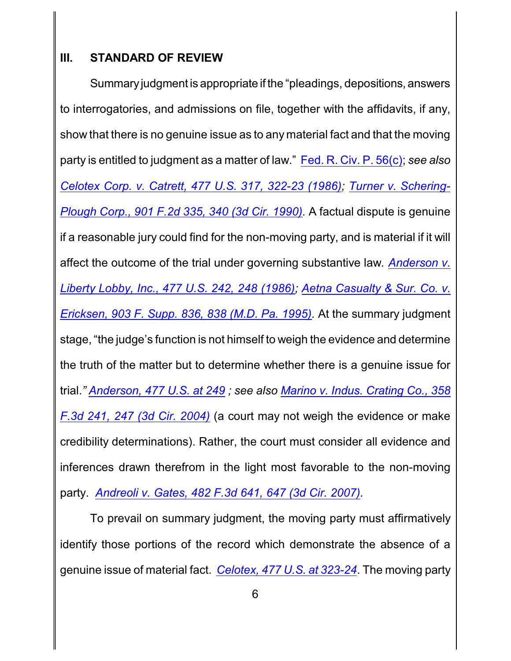## **III. STANDARD OF REVIEW**

Summaryjudgment is appropriate if the "pleadings, depositions, answers to interrogatories, and admissions on file, together with the affidavits, if any, show that there is no genuine issue as to any material fact and that the moving party is entitled to judgment as a matter of law." [Fed. R. Civ. P.](http://westlaw.com/find/default.wl?ft=L&docname=USFRCPR56&rs=btil2.0&rp=%2ffind%2fdefault.wl&fn=_top&findtype=L&vr=2.0&db=1000600&wbtoolsId=USFRCPR56&HistoryType=F) 56(c); *see also Celotex Corp. v. Catrett, [477 U.S. 317, 322-23 \(1986\)](http://westlaw.com/find/default.wl?ft=Y&referencepositiontype=S&rs=btil2.0&rp=%2ffind%2fdefault.wl&serialnum=1986132677&fn=_top&referenceposition=322&findtype=Y&vr=2.0&db=0000780&wbtoolsId=1986132677&HistoryType=F); [Turner v. Schering-](http://westlaw.com/find/default.wl?ft=Y&referencepositiontype=S&rs=btil2.0&rp=%2ffind%2fdefault.wl&serialnum=1990067742&fn=_top&referenceposition=340&findtype=Y&vr=2.0&db=0000350&wbtoolsId=1990067742&HistoryType=F)[Plough Corp., 901 F.2d 335, 340 \(3d Cir. 1990\)](http://westlaw.com/find/default.wl?ft=Y&referencepositiontype=S&rs=btil2.0&rp=%2ffind%2fdefault.wl&serialnum=1990067742&fn=_top&referenceposition=340&findtype=Y&vr=2.0&db=0000350&wbtoolsId=1990067742&HistoryType=F).* A factual dispute is genuine if a reasonable jury could find for the non-moving party, and is material if it will affect the outcome of the trial under governing substantive law*. [Anderson v.](http://westlaw.com/find/default.wl?ft=Y&referencepositiontype=S&rs=btil2.0&rp=%2ffind%2fdefault.wl&serialnum=1986132674&fn=_top&referenceposition=248&findtype=Y&vr=2.0&db=0000780&wbtoolsId=1986132674&HistoryType=F) [Liberty Lobby, Inc.,](http://westlaw.com/find/default.wl?ft=Y&referencepositiontype=S&rs=btil2.0&rp=%2ffind%2fdefault.wl&serialnum=1986132674&fn=_top&referenceposition=248&findtype=Y&vr=2.0&db=0000780&wbtoolsId=1986132674&HistoryType=F) 477 U.S. 242, 248 (1986); [Aetna Casualty & Sur. Co. v.](http://westlaw.com/find/default.wl?ft=Y&referencepositiontype=S&rs=btil2.0&rp=%2ffind%2fdefault.wl&serialnum=1995225725&fn=_top&referenceposition=838&findtype=Y&vr=2.0&db=0000345&wbtoolsId=1995225725&HistoryType=F) [Ericksen, 903 F. Supp. 836, 838 \(M.D. Pa. 1995\)](http://westlaw.com/find/default.wl?ft=Y&referencepositiontype=S&rs=btil2.0&rp=%2ffind%2fdefault.wl&serialnum=1995225725&fn=_top&referenceposition=838&findtype=Y&vr=2.0&db=0000345&wbtoolsId=1995225725&HistoryType=F).* At the summary judgment stage, "the judge's function is not himself to weigh the evidence and determine the truth of the matter but to determine whether there is a genuine issue for trial.*" [Anderson, 477 U.S. at 249](http://westlaw.com/find/default.wl?ft=Y&referencepositiontype=S&rs=btil2.0&rp=%2ffind%2fdefault.wl&serialnum=1986132674&fn=_top&referenceposition=248&findtype=Y&vr=2.0&db=0000780&wbtoolsId=1986132674&HistoryType=F) ; see also Marino [v. Indus. Crating Co., 358](http://westlaw.com/find/default.wl?ft=Y&referencepositiontype=S&rs=btil2.0&rp=%2ffind%2fdefault.wl&serialnum=2004144570&fn=_top&referenceposition=247&findtype=Y&vr=2.0&db=0000506&wbtoolsId=2004144570&HistoryType=F) [F.3d 241, 247 \(3d Cir. 2004\)](http://westlaw.com/find/default.wl?ft=Y&referencepositiontype=S&rs=btil2.0&rp=%2ffind%2fdefault.wl&serialnum=2004144570&fn=_top&referenceposition=247&findtype=Y&vr=2.0&db=0000506&wbtoolsId=2004144570&HistoryType=F)* (a court may not weigh the evidence or make credibility determinations). Rather, the court must consider all evidence and inferences drawn therefrom in the light most favorable to the non-moving party. *[Andreoli v. Gates, 482 F.3d 641, 647 \(3d Cir. 2007\)](http://westlaw.com/find/default.wl?ft=Y&referencepositiontype=S&rs=btil2.0&rp=%2ffind%2fdefault.wl&serialnum=2011888780&fn=_top&referenceposition=647&findtype=Y&vr=2.0&db=0000506&wbtoolsId=2011888780&HistoryType=F).* 

To prevail on summary judgment, the moving party must affirmatively identify those portions of the record which demonstrate the absence of a genuine issue of material fact. *[Celotex, 477 U.S. at 323-24](http://westlaw.com/find/default.wl?ft=Y&referencepositiontype=S&rs=btil2.0&rp=%2ffind%2fdefault.wl&serialnum=1986132677&fn=_top&referenceposition=322&findtype=Y&vr=2.0&db=0000780&wbtoolsId=1986132677&HistoryType=F)*. The moving party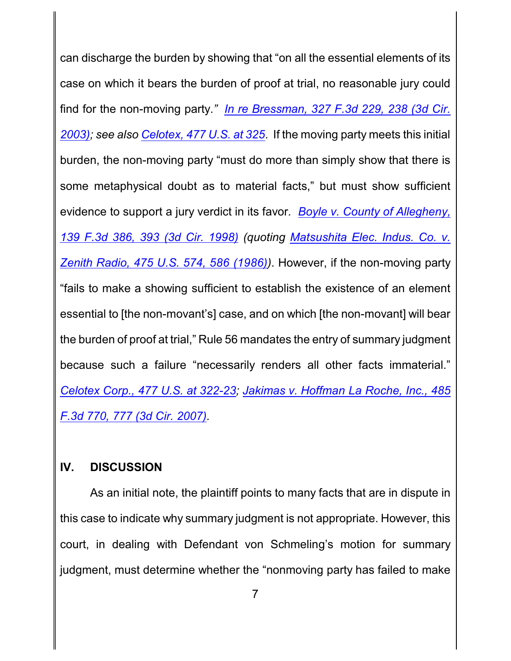can discharge the burden by showing that "on all the essential elements of its case on which it bears the burden of proof at trial, no reasonable jury could find for the non-moving party.*" [In re Bressman, 327 F.3d 229, 238 \(3d](http://westlaw.com/find/default.wl?ft=Y&referencepositiontype=S&rs=btil2.0&rp=%2ffind%2fdefault.wl&serialnum=2003314002&fn=_top&referenceposition=238&findtype=Y&vr=2.0&db=0000506&wbtoolsId=2003314002&HistoryType=F) Cir. [2003\)](http://westlaw.com/find/default.wl?ft=Y&referencepositiontype=S&rs=btil2.0&rp=%2ffind%2fdefault.wl&serialnum=2003314002&fn=_top&referenceposition=238&findtype=Y&vr=2.0&db=0000506&wbtoolsId=2003314002&HistoryType=F); see also [Celotex, 477 U.S. at 325](http://westlaw.com/find/default.wl?ft=Y&referencepositiontype=S&rs=btil2.0&rp=%2ffind%2fdefault.wl&serialnum=1986132677&fn=_top&referenceposition=322&findtype=Y&vr=2.0&db=0000780&wbtoolsId=1986132677&HistoryType=F)*. If the moving party meets this initial burden, the non-moving party "must do more than simply show that there is some metaphysical doubt as to material facts," but must show sufficient evidence to support a jury verdict in its favor*. [Boyle v. County of Allegheny,](http://westlaw.com/find/default.wl?ft=Y&referencepositiontype=S&rs=btil2.0&rp=%2ffind%2fdefault.wl&serialnum=1998075483&fn=_top&referenceposition=393&findtype=Y&vr=2.0&db=0000506&wbtoolsId=1998075483&HistoryType=F) [139 F.3d 386, 393 \(3d Cir. 1998\)](http://westlaw.com/find/default.wl?ft=Y&referencepositiontype=S&rs=btil2.0&rp=%2ffind%2fdefault.wl&serialnum=1998075483&fn=_top&referenceposition=393&findtype=Y&vr=2.0&db=0000506&wbtoolsId=1998075483&HistoryType=F) (quoting [Matsushita Elec.](http://westlaw.com/find/default.wl?ft=Y&referencepositiontype=S&rs=btil2.0&rp=%2ffind%2fdefault.wl&serialnum=1986115992&fn=_top&referenceposition=586&findtype=Y&vr=2.0&db=0000780&wbtoolsId=1986115992&HistoryType=F) Indus. Co. v. [Zenith Radio, 475 U.S. 574, 586](http://westlaw.com/find/default.wl?ft=Y&referencepositiontype=S&rs=btil2.0&rp=%2ffind%2fdefault.wl&serialnum=1986115992&fn=_top&referenceposition=586&findtype=Y&vr=2.0&db=0000780&wbtoolsId=1986115992&HistoryType=F) (1986))*. However, if the non-moving party "fails to make a showing sufficient to establish the existence of an element essential to [the non-movant's] case, and on which [the non-movant] will bear the burden of proof at trial," Rule 56 mandates the entry of summary judgment because such a failure "necessarily renders all other facts immaterial." *[Celotex Corp., 477 U.S. at 322-23](http://westlaw.com/find/default.wl?ft=Y&referencepositiontype=S&rs=btil2.0&rp=%2ffind%2fdefault.wl&serialnum=1986132677&fn=_top&referenceposition=322&findtype=Y&vr=2.0&db=0000780&wbtoolsId=1986132677&HistoryType=F); [Jakimas v. Hoffman](http://westlaw.com/find/default.wl?ft=Y&referencepositiontype=S&rs=btil2.0&rp=%2ffind%2fdefault.wl&serialnum=2012238040&fn=_top&referenceposition=777&findtype=Y&vr=2.0&db=0000506&wbtoolsId=2012238040&HistoryType=F) La Roche, Inc., 485 [F.3d 770, 777 \(3d Cir. 2007\)](http://westlaw.com/find/default.wl?ft=Y&referencepositiontype=S&rs=btil2.0&rp=%2ffind%2fdefault.wl&serialnum=2012238040&fn=_top&referenceposition=777&findtype=Y&vr=2.0&db=0000506&wbtoolsId=2012238040&HistoryType=F).*

#### **IV. DISCUSSION**

As an initial note, the plaintiff points to many facts that are in dispute in this case to indicate why summary judgment is not appropriate. However, this court, in dealing with Defendant von Schmeling's motion for summary judgment, must determine whether the "nonmoving party has failed to make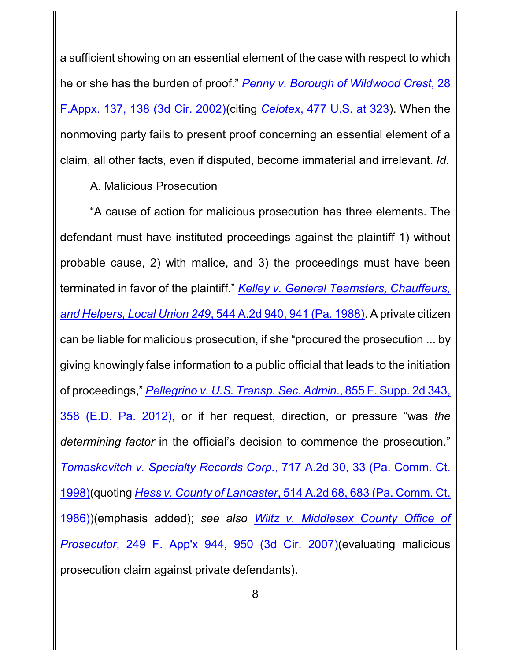a sufficient showing on an essential element of the case with respect to which he or she has the burden of proof." *[Penny v. Borough of Wildwood Crest](http://westlaw.com/find/default.wl?ft=Y&referencepositiontype=S&rs=btil2.0&rp=%2ffind%2fdefault.wl&serialnum=2002104757&fn=_top&referenceposition=138&findtype=Y&vr=2.0&db=0006538&wbtoolsId=2002104757&HistoryType=F)*, 28 F.Appx. 137, 138 (3d [Cir. 2002\)](http://westlaw.com/find/default.wl?ft=Y&referencepositiontype=S&rs=btil2.0&rp=%2ffind%2fdefault.wl&serialnum=2002104757&fn=_top&referenceposition=138&findtype=Y&vr=2.0&db=0006538&wbtoolsId=2002104757&HistoryType=F)(citing *Celotex*[, 477 U.S. at 323](http://westlaw.com/find/default.wl?ft=Y&referencepositiontype=S&rs=btil2.0&rp=%2ffind%2fdefault.wl&serialnum=1986132677&fn=_top&referenceposition=322&findtype=Y&vr=2.0&db=0000780&wbtoolsId=1986132677&HistoryType=F)). When the nonmoving party fails to present proof concerning an essential element of a claim, all other facts, even if disputed, become immaterial and irrelevant. *Id.*

## A. Malicious Prosecution

"A cause of action for malicious prosecution has three elements. The defendant must have instituted proceedings against the plaintiff 1) without probable cause, 2) with malice, and 3) the proceedings must have been terminated in favor of the plaintiff." *[Kelley v. General Teamsters, Chauffeurs,](http://westlaw.com/find/default.wl?ft=Y&referencepositiontype=S&rs=btil2.0&rp=%2ffind%2fdefault.wl&serialnum=1988097474&fn=_top&referenceposition=941&findtype=Y&vr=2.0&db=0000162&wbtoolsId=1988097474&HistoryType=F) and Helpers, Local Union 249*[, 544 A.2d 940, 941 \(Pa. 1988\)](http://westlaw.com/find/default.wl?ft=Y&referencepositiontype=S&rs=btil2.0&rp=%2ffind%2fdefault.wl&serialnum=1988097474&fn=_top&referenceposition=941&findtype=Y&vr=2.0&db=0000162&wbtoolsId=1988097474&HistoryType=F). A private citizen can be liable for malicious prosecution, if she "procured the prosecution ... by giving knowingly false information to a public official that leads to the initiation of proceedings," *Pellegrino v. U.S. Transp. Sec. Admin*[., 855 F. Supp. 2d 343,](http://westlaw.com/find/default.wl?ft=Y&referencepositiontype=S&rs=btil2.0&rp=%2ffind%2fdefault.wl&serialnum=2027236497&fn=_top&referenceposition=358&findtype=Y&vr=2.0&db=0004637&wbtoolsId=2027236497&HistoryType=F) [358 \(E.D. Pa.](http://westlaw.com/find/default.wl?ft=Y&referencepositiontype=S&rs=btil2.0&rp=%2ffind%2fdefault.wl&serialnum=2027236497&fn=_top&referenceposition=358&findtype=Y&vr=2.0&db=0004637&wbtoolsId=2027236497&HistoryType=F) 2012), or if her request, direction, or pressure "was *the determining factor* in the official's decision to commence the prosecution." *[Tomaskevitch v. Specialty Records Corp.](http://westlaw.com/find/default.wl?ft=Y&referencepositiontype=S&rs=btil2.0&rp=%2ffind%2fdefault.wl&serialnum=1998178477&fn=_top&referenceposition=33&findtype=Y&vr=2.0&db=0000162&wbtoolsId=1998178477&HistoryType=F)*, 717 A.2d 30, 33 (Pa. Comm. Ct. [1998\)](http://westlaw.com/find/default.wl?ft=Y&referencepositiontype=S&rs=btil2.0&rp=%2ffind%2fdefault.wl&serialnum=1998178477&fn=_top&referenceposition=33&findtype=Y&vr=2.0&db=0000162&wbtoolsId=1998178477&HistoryType=F)(quoting *Hess v. County of Lancaster*[, 514 A.2d 68, 683 \(Pa. Comm. Ct.](http://westlaw.com/find/default.wl?ft=Y&db=0000162&rs=btil2.0&rp=%2ffind%2fdefault.wl&serialnum=1986145440&fn=_top&findtype=Y&vr=2.0&wbtoolsId=1986145440&HistoryType=F) [1986\)](http://westlaw.com/find/default.wl?ft=Y&db=0000162&rs=btil2.0&rp=%2ffind%2fdefault.wl&serialnum=1986145440&fn=_top&findtype=Y&vr=2.0&wbtoolsId=1986145440&HistoryType=F))(emphasis added); *see also Wiltz [v. Middlesex County Office of](http://westlaw.com/find/default.wl?ft=Y&referencepositiontype=S&rs=btil2.0&rp=%2ffind%2fdefault.wl&serialnum=2013212605&fn=_top&referenceposition=950&findtype=Y&vr=2.0&db=0006538&wbtoolsId=2013212605&HistoryType=F) Prosecutor*, 249 F. App'x [944, 950 \(3d Cir. 2007\)](http://westlaw.com/find/default.wl?ft=Y&referencepositiontype=S&rs=btil2.0&rp=%2ffind%2fdefault.wl&serialnum=2013212605&fn=_top&referenceposition=950&findtype=Y&vr=2.0&db=0006538&wbtoolsId=2013212605&HistoryType=F)(evaluating malicious prosecution claim against private defendants).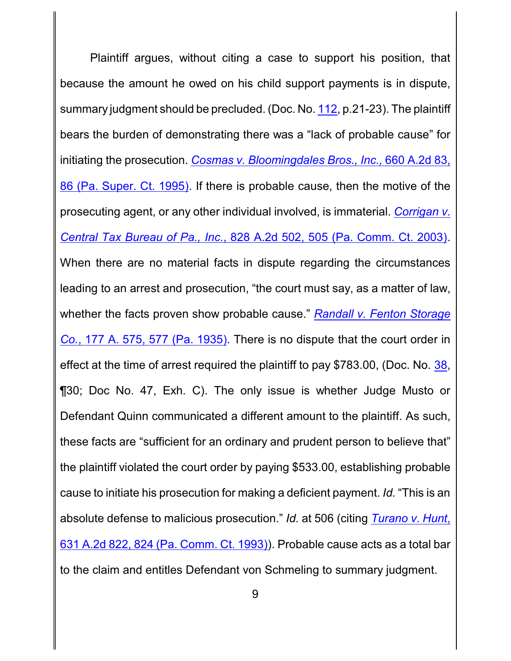Plaintiff argues, without citing a case to support his position, that because the amount he owed on his child support payments is in dispute, summary judgment should be precluded. (Doc. No. [112](http://ecf.pamd.uscourts.gov/doc1/15504298365), p.21-23). The plaintiff bears the burden of demonstrating there was a "lack of probable cause" for initiating the prosecution. *[Cosmas v. Bloomingdales Bros., Inc.,](http://westlaw.com/find/default.wl?ft=Y&referencepositiontype=S&rs=btil2.0&rp=%2ffind%2fdefault.wl&serialnum=1995118835&fn=_top&referenceposition=86&findtype=Y&vr=2.0&db=0000162&wbtoolsId=1995118835&HistoryType=F)* 660 A.2d 83, [86 \(Pa. Super. Ct.](http://westlaw.com/find/default.wl?ft=Y&referencepositiontype=S&rs=btil2.0&rp=%2ffind%2fdefault.wl&serialnum=1995118835&fn=_top&referenceposition=86&findtype=Y&vr=2.0&db=0000162&wbtoolsId=1995118835&HistoryType=F) 1995). If there is probable cause, then the motive of the prosecuting agent, or any other individual involved, is immaterial. *[Corrigan v.](http://westlaw.com/find/default.wl?ft=Y&referencepositiontype=S&rs=btil2.0&rp=%2ffind%2fdefault.wl&serialnum=2003496849&fn=_top&referenceposition=505&findtype=Y&vr=2.0&db=0000162&wbtoolsId=2003496849&HistoryType=F) Central Tax Bureau of Pa., Inc.*[, 828 A.2d 502, 505 \(Pa. Comm. Ct.](http://westlaw.com/find/default.wl?ft=Y&referencepositiontype=S&rs=btil2.0&rp=%2ffind%2fdefault.wl&serialnum=2003496849&fn=_top&referenceposition=505&findtype=Y&vr=2.0&db=0000162&wbtoolsId=2003496849&HistoryType=F) 2003). When there are no material facts in dispute regarding the circumstances leading to an arrest and prosecution, "the court must say, as a matter of law, whether the facts proven show probable cause." *[Randall v. Fenton Storage](http://westlaw.com/find/default.wl?ft=Y&referencepositiontype=S&rs=btil2.0&rp=%2ffind%2fdefault.wl&serialnum=1935115434&fn=_top&referenceposition=577&findtype=Y&vr=2.0&db=0000161&wbtoolsId=1935115434&HistoryType=F) Co.*, 177 A. [575, 577 \(Pa. 1935\)](http://westlaw.com/find/default.wl?ft=Y&referencepositiontype=S&rs=btil2.0&rp=%2ffind%2fdefault.wl&serialnum=1935115434&fn=_top&referenceposition=577&findtype=Y&vr=2.0&db=0000161&wbtoolsId=1935115434&HistoryType=F). There is no dispute that the court order in effect at the time of arrest required the plaintiff to pay \$783.00, (Doc. No. [38](http://ecf.pamd.uscourts.gov/doc1/15503750692), ¶30; Doc No. 47, Exh. C). The only issue is whether Judge Musto or Defendant Quinn communicated a different amount to the plaintiff. As such, these facts are "sufficient for an ordinary and prudent person to believe that" the plaintiff violated the court order by paying \$533.00, establishing probable cause to initiate his prosecution for making a deficient payment. *Id.* "This is an absolute defense to malicious prosecution." *Id.* at 506 (citing *[Turano](http://westlaw.com/find/default.wl?ft=Y&referencepositiontype=S&rs=btil2.0&rp=%2ffind%2fdefault.wl&serialnum=1993172818&fn=_top&referenceposition=824&findtype=Y&vr=2.0&db=0000162&wbtoolsId=1993172818&HistoryType=F) v. Hunt*, [631 A.2d 822, 824 \(Pa. Comm. Ct.](http://westlaw.com/find/default.wl?ft=Y&referencepositiontype=S&rs=btil2.0&rp=%2ffind%2fdefault.wl&serialnum=1993172818&fn=_top&referenceposition=824&findtype=Y&vr=2.0&db=0000162&wbtoolsId=1993172818&HistoryType=F) 1993)). Probable cause acts as a total bar to the claim and entitles Defendant von Schmeling to summary judgment.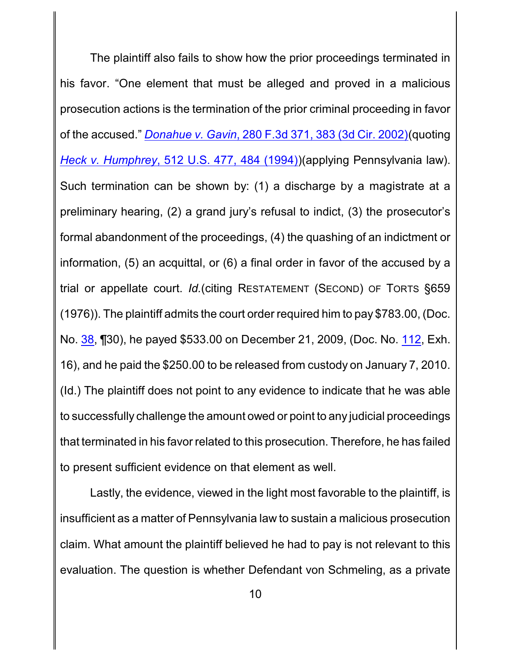The plaintiff also fails to show how the prior proceedings terminated in his favor. "One element that must be alleged and proved in a malicious prosecution actions is the termination of the prior criminal proceeding in favor of the accused." *Donahue v. Gavin*[, 280 F.3d 371, 383 \(3d Cir. 2002\)](http://westlaw.com/find/default.wl?ft=Y&referencepositiontype=S&rs=btil2.0&rp=%2ffind%2fdefault.wl&serialnum=2002116031&fn=_top&referenceposition=383&findtype=Y&vr=2.0&db=0000506&wbtoolsId=2002116031&HistoryType=F)(quoting *Heck v. Humphrey*[, 512 U.S. 477, 484 \(1994\)](http://westlaw.com/find/default.wl?ft=Y&referencepositiontype=S&rs=btil2.0&rp=%2ffind%2fdefault.wl&serialnum=1994135537&fn=_top&referenceposition=484&findtype=Y&vr=2.0&db=0000780&wbtoolsId=1994135537&HistoryType=F))(applying Pennsylvania law). Such termination can be shown by: (1) a discharge by a magistrate at a preliminary hearing, (2) a grand jury's refusal to indict, (3) the prosecutor's formal abandonment of the proceedings, (4) the quashing of an indictment or information, (5) an acquittal, or (6) a final order in favor of the accused by a trial or appellate court. *Id.*(citing RESTATEMENT (SECOND) OF TORTS §659 (1976)). The plaintiff admits the court order required him to pay \$783.00, (Doc. No. [38](http://ecf.pamd.uscourts.gov/doc1/15503750692), ¶30), he payed \$533.00 on December 21, 2009, (Doc. No. [112](http://ecf.pamd.uscourts.gov/doc1/15504298365), Exh. 16), and he paid the \$250.00 to be released from custody on January 7, 2010. (Id.) The plaintiff does not point to any evidence to indicate that he was able to successfully challenge the amount owed or point to any judicial proceedings that terminated in his favor related to this prosecution. Therefore, he has failed to present sufficient evidence on that element as well.

Lastly, the evidence, viewed in the light most favorable to the plaintiff, is insufficient as a matter of Pennsylvania law to sustain a malicious prosecution claim. What amount the plaintiff believed he had to pay is not relevant to this evaluation. The question is whether Defendant von Schmeling, as a private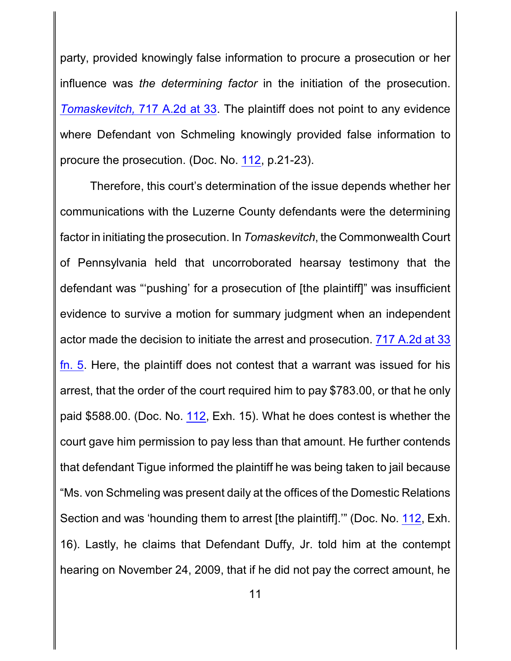party, provided knowingly false information to procure a prosecution or her influence was *the determining factor* in the initiation of the prosecution. *Tomaskevitch,* [717 A.2d at 33](http://westlaw.com/find/default.wl?ft=Y&referencepositiontype=S&rs=btil2.0&rp=%2ffind%2fdefault.wl&serialnum=1998178477&fn=_top&referenceposition=33&findtype=Y&vr=2.0&db=0000162&wbtoolsId=1998178477&HistoryType=F). The plaintiff does not point to any evidence where Defendant von Schmeling knowingly provided false information to procure the prosecution. (Doc. No. [112](http://ecf.pamd.uscourts.gov/doc1/15504298365), p.21-23).

Therefore, this court's determination of the issue depends whether her communications with the Luzerne County defendants were the determining factor in initiating the prosecution. In *Tomaskevitch*, the Commonwealth Court of Pennsylvania held that uncorroborated hearsay testimony that the defendant was "'pushing' for a prosecution of [the plaintiff]" was insufficient evidence to survive a motion for summary judgment when an independent actor made the decision to initiate the arrest and prosecution. [717 A.2d at 33](http://westlaw.com/find/default.wl?ft=Y&referencepositiontype=S&rs=btil2.0&rp=%2ffind%2fdefault.wl&serialnum=1998178477&fn=_top&referenceposition=33&findtype=Y&vr=2.0&db=0000162&wbtoolsId=1998178477&HistoryType=F) [fn. 5](http://westlaw.com/find/default.wl?ft=Y&referencepositiontype=S&rs=btil2.0&rp=%2ffind%2fdefault.wl&serialnum=1998178477&fn=_top&referenceposition=33&findtype=Y&vr=2.0&db=0000162&wbtoolsId=1998178477&HistoryType=F). Here, the plaintiff does not contest that a warrant was issued for his arrest, that the order of the court required him to pay \$783.00, or that he only paid \$588.00. (Doc. No. [112](http://ecf.pamd.uscourts.gov/doc1/15504298365), Exh. 15). What he does contest is whether the court gave him permission to pay less than that amount. He further contends that defendant Tigue informed the plaintiff he was being taken to jail because "Ms. von Schmeling was present daily at the offices of the Domestic Relations Section and was 'hounding them to arrest [the plaintiff].'" (Doc. No. [112](http://ecf.pamd.uscourts.gov/doc1/15504298365), Exh. 16). Lastly, he claims that Defendant Duffy, Jr. told him at the contempt hearing on November 24, 2009, that if he did not pay the correct amount, he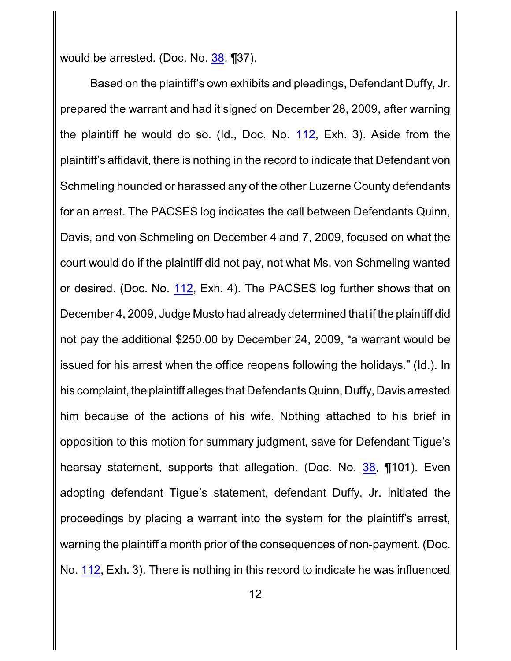would be arrested. (Doc. No. [38](http://ecf.pamd.uscourts.gov/doc1/15503750692), ¶37).

Based on the plaintiff's own exhibits and pleadings, Defendant Duffy, Jr. prepared the warrant and had it signed on December 28, 2009, after warning the plaintiff he would do so. (Id., Doc. No. [112](http://ecf.pamd.uscourts.gov/doc1/15504298365), Exh. 3). Aside from the plaintiff's affidavit, there is nothing in the record to indicate that Defendant von Schmeling hounded or harassed any of the other Luzerne County defendants for an arrest. The PACSES log indicates the call between Defendants Quinn, Davis, and von Schmeling on December 4 and 7, 2009, focused on what the court would do if the plaintiff did not pay, not what Ms. von Schmeling wanted or desired. (Doc. No. [112](http://ecf.pamd.uscourts.gov/doc1/15504298365), Exh. 4). The PACSES log further shows that on December 4, 2009, Judge Musto had already determined that if the plaintiff did not pay the additional \$250.00 by December 24, 2009, "a warrant would be issued for his arrest when the office reopens following the holidays." (Id.). In his complaint, the plaintiff alleges that Defendants Quinn, Duffy, Davis arrested him because of the actions of his wife. Nothing attached to his brief in opposition to this motion for summary judgment, save for Defendant Tigue's hearsay statement, supports that allegation. (Doc. No. [38](http://ecf.pamd.uscourts.gov/doc1/15503750692), ¶101). Even adopting defendant Tigue's statement, defendant Duffy, Jr. initiated the proceedings by placing a warrant into the system for the plaintiff's arrest, warning the plaintiff a month prior of the consequences of non-payment. (Doc. No. [112](http://ecf.pamd.uscourts.gov/doc1/15504298365), Exh. 3). There is nothing in this record to indicate he was influenced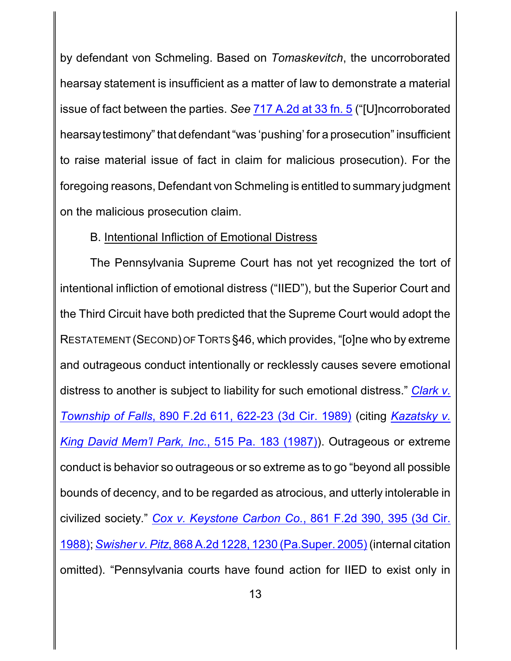by defendant von Schmeling. Based on *Tomaskevitch*, the uncorroborated hearsay statement is insufficient as a matter of law to demonstrate a material issue of fact between the parties. *See* [717 A.2d at 33 fn. 5](http://westlaw.com/find/default.wl?ft=Y&referencepositiontype=S&rs=btil2.0&rp=%2ffind%2fdefault.wl&serialnum=1998178477&fn=_top&referenceposition=33&findtype=Y&vr=2.0&db=0000162&wbtoolsId=1998178477&HistoryType=F) ("[U]ncorroborated hearsaytestimony" that defendant "was 'pushing' for a prosecution" insufficient to raise material issue of fact in claim for malicious prosecution). For the foregoing reasons, Defendant von Schmeling is entitled to summary judgment on the malicious prosecution claim.

## B. Intentional Infliction of Emotional Distress

The Pennsylvania Supreme Court has not yet recognized the tort of intentional infliction of emotional distress ("IIED"), but the Superior Court and the Third Circuit have both predicted that the Supreme Court would adopt the RESTATEMENT (SECOND) OF TORTS §46, which provides, "[o]ne who by extreme and outrageous conduct intentionally or recklessly causes severe emotional distress to another is subject to liability for such emotional distress." *[Clark v.](http://westlaw.com/find/default.wl?ft=Y&referencepositiontype=S&rs=btil2.0&rp=%2ffind%2fdefault.wl&serialnum=1989165548&fn=_top&referenceposition=622&findtype=Y&vr=2.0&db=0000350&wbtoolsId=1989165548&HistoryType=F) Township of Falls*[, 890 F.2d 611, 622-23](http://westlaw.com/find/default.wl?ft=Y&referencepositiontype=S&rs=btil2.0&rp=%2ffind%2fdefault.wl&serialnum=1989165548&fn=_top&referenceposition=622&findtype=Y&vr=2.0&db=0000350&wbtoolsId=1989165548&HistoryType=F) (3d Cir. 1989) (citing *[Kazatsky](http://westlaw.com/find/default.wl?ft=Y&db=0000651&rs=btil2.0&rp=%2ffind%2fdefault.wl&serialnum=1987077756&fn=_top&findtype=Y&vr=2.0&wbtoolsId=1987077756&HistoryType=F) v. [King David Mem'l](http://westlaw.com/find/default.wl?ft=Y&db=0000651&rs=btil2.0&rp=%2ffind%2fdefault.wl&serialnum=1987077756&fn=_top&findtype=Y&vr=2.0&wbtoolsId=1987077756&HistoryType=F) Park, Inc.*, 515 Pa. 183 (1987)). Outrageous or extreme conduct is behavior so outrageous or so extreme as to go "beyond all possible bounds of decency, and to be regarded as atrocious, and utterly intolerable in civilized society." *Cox v. Keystone Carbon Co.*[, 861 F.2d 390, 395 \(3d Cir.](http://westlaw.com/find/default.wl?ft=Y&referencepositiontype=S&rs=btil2.0&rp=%2ffind%2fdefault.wl&serialnum=1988143988&fn=_top&referenceposition=395&findtype=Y&vr=2.0&db=0000350&wbtoolsId=1988143988&HistoryType=F) [1988\)](http://westlaw.com/find/default.wl?ft=Y&referencepositiontype=S&rs=btil2.0&rp=%2ffind%2fdefault.wl&serialnum=1988143988&fn=_top&referenceposition=395&findtype=Y&vr=2.0&db=0000350&wbtoolsId=1988143988&HistoryType=F); *Swisher v. Pitz*[, 868 A.2d 1228, 1230](http://westlaw.com/find/default.wl?ft=Y&referencepositiontype=S&rs=btil2.0&rp=%2ffind%2fdefault.wl&serialnum=2006209811&fn=_top&referenceposition=1230&findtype=Y&vr=2.0&db=0000162&wbtoolsId=2006209811&HistoryType=F) (Pa.Super. 2005) (internal citation omitted). "Pennsylvania courts have found action for IIED to exist only in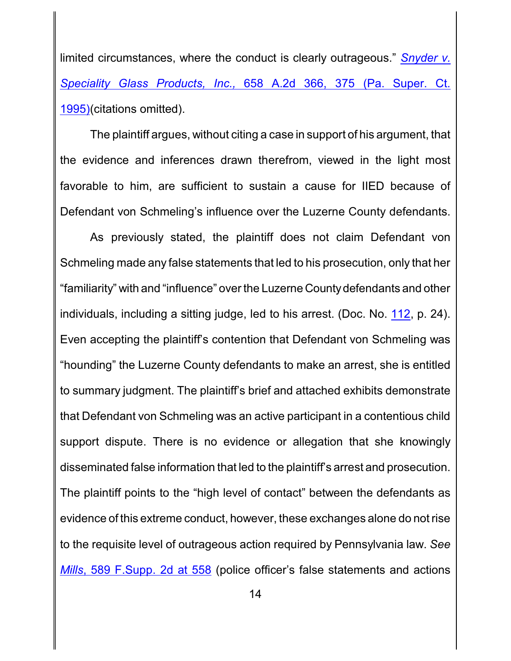limited circumstances, where the conduct is clearly outrageous." *[Snyder v.](http://westlaw.com/find/default.wl?ft=Y&referencepositiontype=S&rs=btil2.0&rp=%2ffind%2fdefault.wl&serialnum=1995097477&fn=_top&referenceposition=375&findtype=Y&vr=2.0&db=0000162&wbtoolsId=1995097477&HistoryType=F) [Speciality Glass Products,](http://westlaw.com/find/default.wl?ft=Y&referencepositiontype=S&rs=btil2.0&rp=%2ffind%2fdefault.wl&serialnum=1995097477&fn=_top&referenceposition=375&findtype=Y&vr=2.0&db=0000162&wbtoolsId=1995097477&HistoryType=F) Inc.,* 658 A.2d 366, 375 (Pa. Super. Ct. [1995\)](http://westlaw.com/find/default.wl?ft=Y&referencepositiontype=S&rs=btil2.0&rp=%2ffind%2fdefault.wl&serialnum=1995097477&fn=_top&referenceposition=375&findtype=Y&vr=2.0&db=0000162&wbtoolsId=1995097477&HistoryType=F)(citations omitted).

The plaintiff argues, without citing a case in support of his argument, that the evidence and inferences drawn therefrom, viewed in the light most favorable to him, are sufficient to sustain a cause for IIED because of Defendant von Schmeling's influence over the Luzerne County defendants.

As previously stated, the plaintiff does not claim Defendant von Schmeling made any false statements that led to his prosecution, only that her "familiarity" with and "influence" over the Luzerne Countydefendants and other individuals, including a sitting judge, led to his arrest. (Doc. No. [112](http://ecf.pamd.uscourts.gov/doc1/15504298365), p. 24). Even accepting the plaintiff's contention that Defendant von Schmeling was "hounding" the Luzerne County defendants to make an arrest, she is entitled to summary judgment. The plaintiff's brief and attached exhibits demonstrate that Defendant von Schmeling was an active participant in a contentious child support dispute. There is no evidence or allegation that she knowingly disseminated false information that led to the plaintiff's arrest and prosecution. The plaintiff points to the "high level of contact" between the defendants as evidence of this extreme conduct, however, these exchanges alone do not rise to the requisite level of outrageous action required by Pennsylvania law. *See Mills*[, 589 F.Supp. 2d at 558](http://westlaw.com/find/default.wl?ft=Y&db=0004637&rs=btil2.0&rp=%2ffind%2fdefault.wl&serialnum=2017596426&fn=_top&findtype=Y&vr=2.0&wbtoolsId=2017596426&HistoryType=F) (police officer's false statements and actions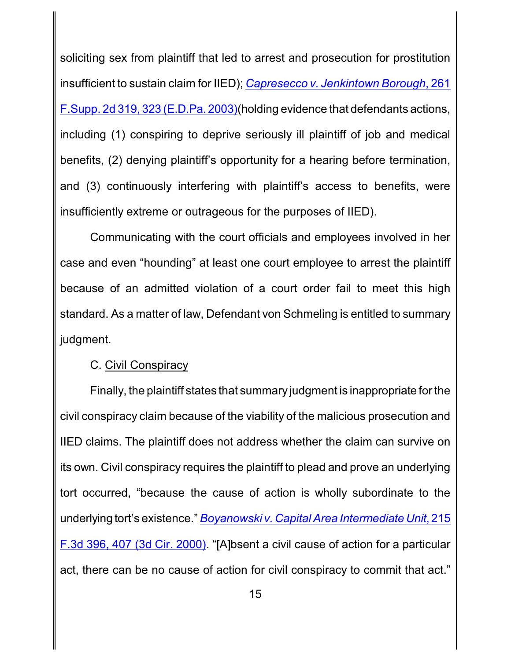soliciting sex from plaintiff that led to arrest and prosecution for prostitution insufficient to sustain claim for IIED); *[Capresecco v. Jenkintown Borough](http://westlaw.com/find/default.wl?ft=Y&referencepositiontype=S&rs=btil2.0&rp=%2ffind%2fdefault.wl&serialnum=2003342519&fn=_top&referenceposition=323&findtype=Y&vr=2.0&db=0004637&wbtoolsId=2003342519&HistoryType=F)*, 261 [F.Supp. 2d 319,](http://westlaw.com/find/default.wl?ft=Y&referencepositiontype=S&rs=btil2.0&rp=%2ffind%2fdefault.wl&serialnum=2003342519&fn=_top&referenceposition=323&findtype=Y&vr=2.0&db=0004637&wbtoolsId=2003342519&HistoryType=F) 323 (E.D.Pa. 2003)(holding evidence that defendants actions, including (1) conspiring to deprive seriously ill plaintiff of job and medical benefits, (2) denying plaintiff's opportunity for a hearing before termination, and (3) continuously interfering with plaintiff's access to benefits, were insufficiently extreme or outrageous for the purposes of IIED).

Communicating with the court officials and employees involved in her case and even "hounding" at least one court employee to arrest the plaintiff because of an admitted violation of a court order fail to meet this high standard. As a matter of law, Defendant von Schmeling is entitled to summary judgment.

#### C. Civil Conspiracy

Finally, the plaintiff states that summary judgment is inappropriate for the civil conspiracy claim because of the viability of the malicious prosecution and IIED claims. The plaintiff does not address whether the claim can survive on its own. Civil conspiracy requires the plaintiff to plead and prove an underlying tort occurred, "because the cause of action is wholly subordinate to the underlying tort's existence." *[Boyanowski v. Capital Area Intermediate Unit](http://westlaw.com/find/default.wl?ft=Y&referencepositiontype=S&rs=btil2.0&rp=%2ffind%2fdefault.wl&serialnum=2000381482&fn=_top&referenceposition=407&findtype=Y&vr=2.0&db=0000506&wbtoolsId=2000381482&HistoryType=F)*, 215 [F.3d 396, 407 \(3d Cir. 2000\)](http://westlaw.com/find/default.wl?ft=Y&referencepositiontype=S&rs=btil2.0&rp=%2ffind%2fdefault.wl&serialnum=2000381482&fn=_top&referenceposition=407&findtype=Y&vr=2.0&db=0000506&wbtoolsId=2000381482&HistoryType=F). "[A]bsent a civil cause of action for a particular act, there can be no cause of action for civil conspiracy to commit that act."